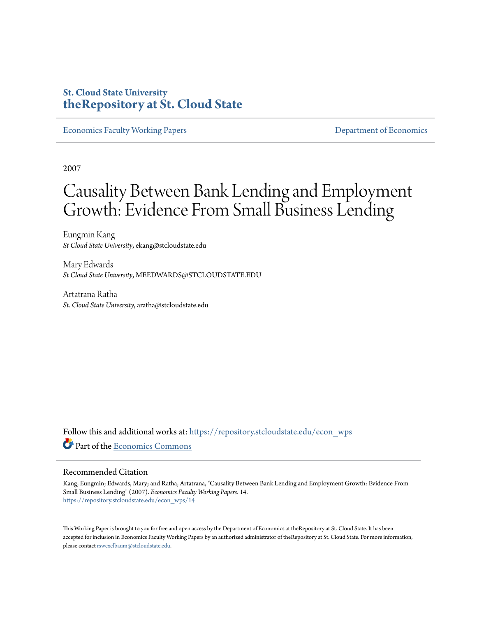## **St. Cloud State University [theRepository at St. Cloud State](https://repository.stcloudstate.edu?utm_source=repository.stcloudstate.edu%2Fecon_wps%2F14&utm_medium=PDF&utm_campaign=PDFCoverPages)**

[Economics Faculty Working Papers](https://repository.stcloudstate.edu/econ_wps?utm_source=repository.stcloudstate.edu%2Fecon_wps%2F14&utm_medium=PDF&utm_campaign=PDFCoverPages) **Exercise 2018** [Department of Economics](https://repository.stcloudstate.edu/econ?utm_source=repository.stcloudstate.edu%2Fecon_wps%2F14&utm_medium=PDF&utm_campaign=PDFCoverPages)

2007

# Causality Between Bank Lending and Employment Growth: Evidence From Small Business Lending

Eungmin Kang *St Cloud State University*, ekang@stcloudstate.edu

Mary Edwards *St Cloud State University*, MEEDWARDS@STCLOUDSTATE.EDU

Artatrana Ratha *St. Cloud State University*, aratha@stcloudstate.edu

Follow this and additional works at: [https://repository.stcloudstate.edu/econ\\_wps](https://repository.stcloudstate.edu/econ_wps?utm_source=repository.stcloudstate.edu%2Fecon_wps%2F14&utm_medium=PDF&utm_campaign=PDFCoverPages) Part of the [Economics Commons](http://network.bepress.com/hgg/discipline/340?utm_source=repository.stcloudstate.edu%2Fecon_wps%2F14&utm_medium=PDF&utm_campaign=PDFCoverPages)

#### Recommended Citation

Kang, Eungmin; Edwards, Mary; and Ratha, Artatrana, "Causality Between Bank Lending and Employment Growth: Evidence From Small Business Lending" (2007). *Economics Faculty Working Papers*. 14. [https://repository.stcloudstate.edu/econ\\_wps/14](https://repository.stcloudstate.edu/econ_wps/14?utm_source=repository.stcloudstate.edu%2Fecon_wps%2F14&utm_medium=PDF&utm_campaign=PDFCoverPages)

This Working Paper is brought to you for free and open access by the Department of Economics at theRepository at St. Cloud State. It has been accepted for inclusion in Economics Faculty Working Papers by an authorized administrator of theRepository at St. Cloud State. For more information, please contact [rswexelbaum@stcloudstate.edu.](mailto:rswexelbaum@stcloudstate.edu)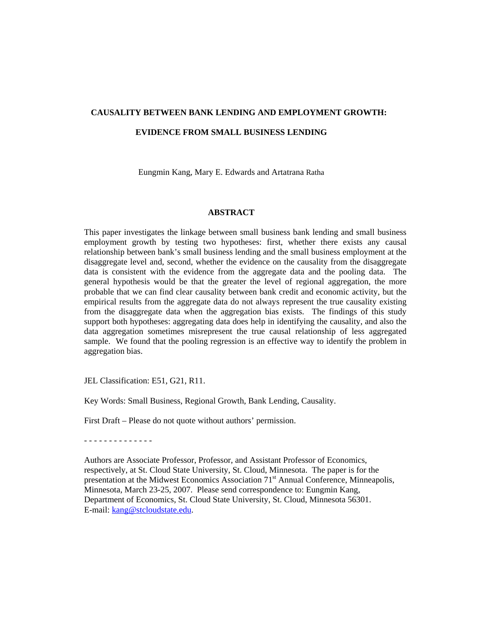#### **CAUSALITY BETWEEN BANK LENDING AND EMPLOYMENT GROWTH:**

#### **EVIDENCE FROM SMALL BUSINESS LENDING**

Eungmin Kang, Mary E. Edwards and Artatrana Ratha

#### **ABSTRACT**

This paper investigates the linkage between small business bank lending and small business employment growth by testing two hypotheses: first, whether there exists any causal relationship between bank's small business lending and the small business employment at the disaggregate level and, second, whether the evidence on the causality from the disaggregate data is consistent with the evidence from the aggregate data and the pooling data. The general hypothesis would be that the greater the level of regional aggregation, the more probable that we can find clear causality between bank credit and economic activity, but the empirical results from the aggregate data do not always represent the true causality existing from the disaggregate data when the aggregation bias exists. The findings of this study support both hypotheses: aggregating data does help in identifying the causality, and also the data aggregation sometimes misrepresent the true causal relationship of less aggregated sample. We found that the pooling regression is an effective way to identify the problem in aggregation bias.

JEL Classification: E51, G21, R11.

Key Words: Small Business, Regional Growth, Bank Lending, Causality.

First Draft – Please do not quote without authors' permission.

- - - - - - - - - - - - - -

 Authors are Associate Professor, Professor, and Assistant Professor of Economics, respectively, at St. Cloud State University, St. Cloud, Minnesota. The paper is for the presentation at the Midwest Economics Association 71<sup>st</sup> Annual Conference, Minneapolis, Minnesota, March 23-25, 2007. Please send correspondence to: Eungmin Kang, Department of Economics, St. Cloud State University, St. Cloud, Minnesota 56301. E-mail: [kang@stcloudstate.edu.](mailto:kang@stcloudstate.edu)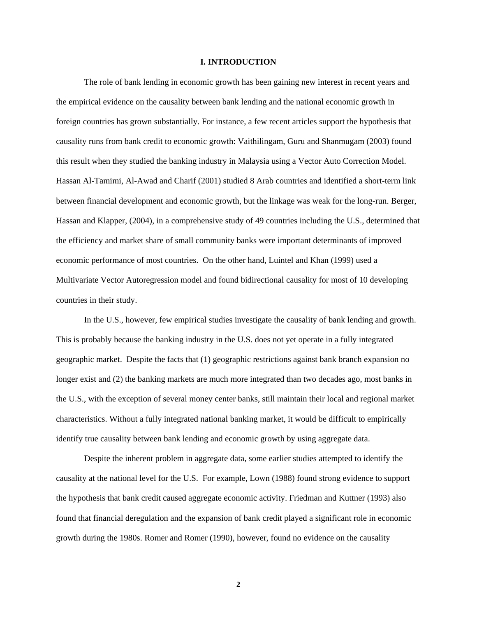#### **I. INTRODUCTION**

 The role of bank lending in economic growth has been gaining new interest in recent years and the empirical evidence on the causality between bank lending and the national economic growth in foreign countries has grown substantially. For instance, a few recent articles support the hypothesis that causality runs from bank credit to economic growth: Vaithilingam, Guru and Shanmugam (2003) found this result when they studied the banking industry in Malaysia using a Vector Auto Correction Model. Hassan Al-Tamimi, Al-Awad and Charif (2001) studied 8 Arab countries and identified a short-term link between financial development and economic growth, but the linkage was weak for the long-run. Berger, Hassan and Klapper, (2004), in a comprehensive study of 49 countries including the U.S., determined that the efficiency and market share of small community banks were important determinants of improved economic performance of most countries. On the other hand, Luintel and Khan (1999) used a Multivariate Vector Autoregression model and found bidirectional causality for most of 10 developing countries in their study.

In the U.S., however, few empirical studies investigate the causality of bank lending and growth. This is probably because the banking industry in the U.S. does not yet operate in a fully integrated geographic market. Despite the facts that (1) geographic restrictions against bank branch expansion no longer exist and (2) the banking markets are much more integrated than two decades ago, most banks in the U.S., with the exception of several money center banks, still maintain their local and regional market characteristics. Without a fully integrated national banking market, it would be difficult to empirically identify true causality between bank lending and economic growth by using aggregate data.

Despite the inherent problem in aggregate data, some earlier studies attempted to identify the causality at the national level for the U.S. For example, Lown (1988) found strong evidence to support the hypothesis that bank credit caused aggregate economic activity. Friedman and Kuttner (1993) also found that financial deregulation and the expansion of bank credit played a significant role in economic growth during the 1980s. Romer and Romer (1990), however, found no evidence on the causality

**2**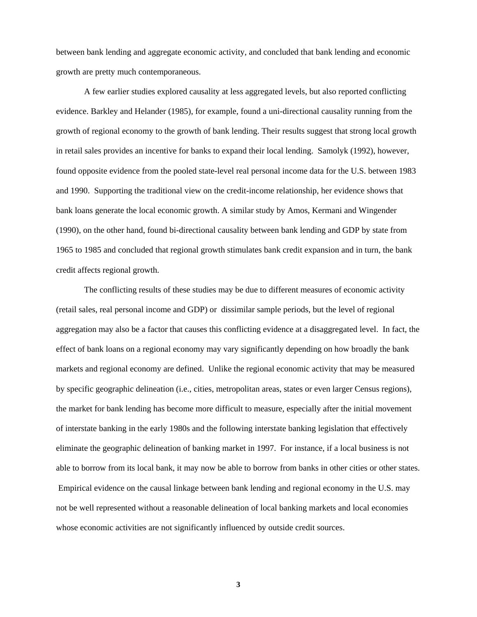between bank lending and aggregate economic activity, and concluded that bank lending and economic growth are pretty much contemporaneous.

A few earlier studies explored causality at less aggregated levels, but also reported conflicting evidence. Barkley and Helander (1985), for example, found a uni-directional causality running from the growth of regional economy to the growth of bank lending. Their results suggest that strong local growth in retail sales provides an incentive for banks to expand their local lending. Samolyk (1992), however, found opposite evidence from the pooled state-level real personal income data for the U.S. between 1983 and 1990. Supporting the traditional view on the credit-income relationship, her evidence shows that bank loans generate the local economic growth. A similar study by Amos, Kermani and Wingender (1990), on the other hand, found bi-directional causality between bank lending and GDP by state from 1965 to 1985 and concluded that regional growth stimulates bank credit expansion and in turn, the bank credit affects regional growth.

The conflicting results of these studies may be due to different measures of economic activity (retail sales, real personal income and GDP) or dissimilar sample periods, but the level of regional aggregation may also be a factor that causes this conflicting evidence at a disaggregated level. In fact, the effect of bank loans on a regional economy may vary significantly depending on how broadly the bank markets and regional economy are defined. Unlike the regional economic activity that may be measured by specific geographic delineation (i.e., cities, metropolitan areas, states or even larger Census regions), the market for bank lending has become more difficult to measure, especially after the initial movement of interstate banking in the early 1980s and the following interstate banking legislation that effectively eliminate the geographic delineation of banking market in 1997. For instance, if a local business is not able to borrow from its local bank, it may now be able to borrow from banks in other cities or other states. Empirical evidence on the causal linkage between bank lending and regional economy in the U.S. may not be well represented without a reasonable delineation of local banking markets and local economies whose economic activities are not significantly influenced by outside credit sources.

**3**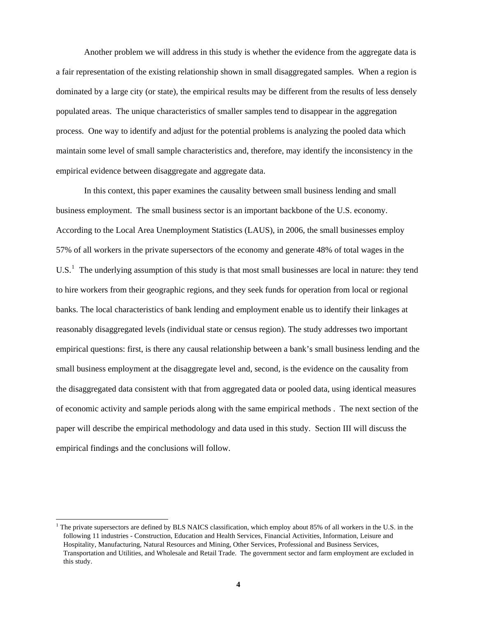Another problem we will address in this study is whether the evidence from the aggregate data is a fair representation of the existing relationship shown in small disaggregated samples. When a region is dominated by a large city (or state), the empirical results may be different from the results of less densely populated areas. The unique characteristics of smaller samples tend to disappear in the aggregation process. One way to identify and adjust for the potential problems is analyzing the pooled data which maintain some level of small sample characteristics and, therefore, may identify the inconsistency in the empirical evidence between disaggregate and aggregate data.

In this context, this paper examines the causality between small business lending and small business employment. The small business sector is an important backbone of the U.S. economy. According to the Local Area Unemployment Statistics (LAUS), in 2006, the small businesses employ 57% of all workers in the private supersectors of the economy and generate 48% of total wages in the  $U.S.<sup>1</sup>$  $U.S.<sup>1</sup>$  $U.S.<sup>1</sup>$  The underlying assumption of this study is that most small businesses are local in nature: they tend to hire workers from their geographic regions, and they seek funds for operation from local or regional banks. The local characteristics of bank lending and employment enable us to identify their linkages at reasonably disaggregated levels (individual state or census region). The study addresses two important empirical questions: first, is there any causal relationship between a bank's small business lending and the small business employment at the disaggregate level and, second, is the evidence on the causality from the disaggregated data consistent with that from aggregated data or pooled data, using identical measures of economic activity and sample periods along with the same empirical methods . The next section of the paper will describe the empirical methodology and data used in this study. Section III will discuss the empirical findings and the conclusions will follow.

 $\overline{a}$ 

<span id="page-4-0"></span><sup>1</sup> The private supersectors are defined by BLS NAICS classification, which employ about 85% of all workers in the U.S. in the following 11 industries - Construction, Education and Health Services, Financial Activities, Information, Leisure and Hospitality, Manufacturing, Natural Resources and Mining, Other Services, Professional and Business Services, Transportation and Utilities, and Wholesale and Retail Trade. The government sector and farm employment are excluded in this study.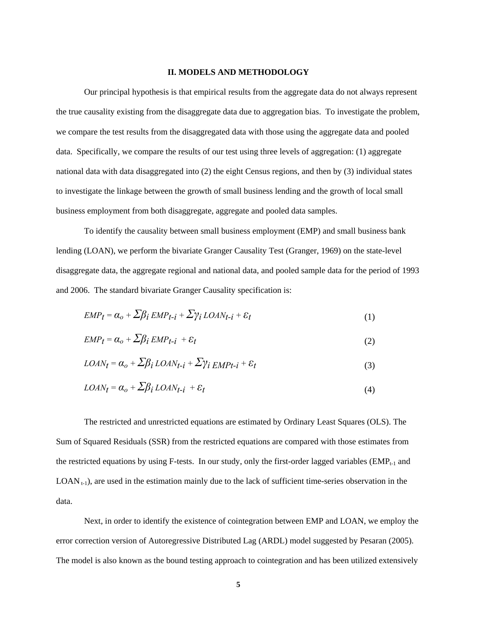#### **II. MODELS AND METHODOLOGY**

Our principal hypothesis is that empirical results from the aggregate data do not always represent the true causality existing from the disaggregate data due to aggregation bias. To investigate the problem, we compare the test results from the disaggregated data with those using the aggregate data and pooled data. Specifically, we compare the results of our test using three levels of aggregation: (1) aggregate national data with data disaggregated into (2) the eight Census regions, and then by (3) individual states to investigate the linkage between the growth of small business lending and the growth of local small business employment from both disaggregate, aggregate and pooled data samples.

To identify the causality between small business employment (EMP) and small business bank lending (LOAN), we perform the bivariate Granger Causality Test (Granger, 1969) on the state-level disaggregate data, the aggregate regional and national data, and pooled sample data for the period of 1993 and 2006. The standard bivariate Granger Causality specification is:

$$
EMP_t = \alpha_o + \sum \beta_i \, EMP_{t-i} + \sum \gamma_i \, LOAN_{t-i} + \varepsilon_t \tag{1}
$$

$$
EMP_t = \alpha_o + \sum \beta_i \, EMP_{t-i} + \varepsilon_t \tag{2}
$$

$$
LOAN_t = \alpha_o + \sum \beta_i \, LOAN_{t-i} + \sum \gamma_i \, EMP_{t-i} + \varepsilon_t \tag{3}
$$

$$
LOAN_t = \alpha_o + \sum \beta_i \, LOAN_{t-i} + \varepsilon_t \tag{4}
$$

The restricted and unrestricted equations are estimated by Ordinary Least Squares (OLS). The Sum of Squared Residuals (SSR) from the restricted equations are compared with those estimates from the restricted equations by using F-tests. In our study, only the first-order lagged variables ( $EMP_{t-1}$  and  $LOAN_{t-1}$ , are used in the estimation mainly due to the lack of sufficient time-series observation in the data.

Next, in order to identify the existence of cointegration between EMP and LOAN, we employ the error correction version of Autoregressive Distributed Lag (ARDL) model suggested by Pesaran (2005). The model is also known as the bound testing approach to cointegration and has been utilized extensively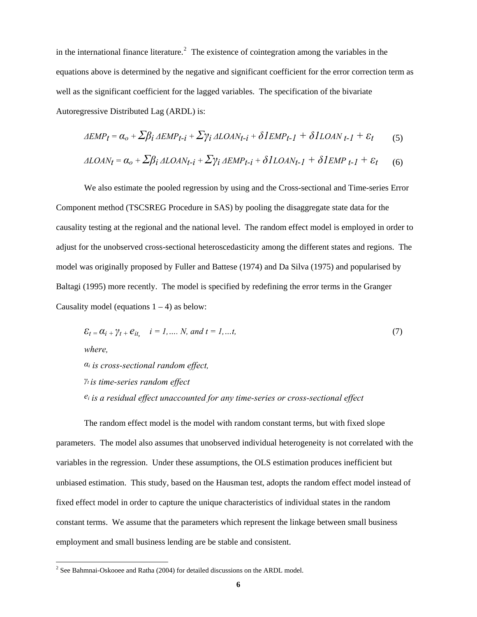in the international finance literature.<sup>[2](#page-6-0)</sup> The existence of cointegration among the variables in the equations above is determined by the negative and significant coefficient for the error correction term as well as the significant coefficient for the lagged variables. The specification of the bivariate Autoregressive Distributed Lag (ARDL) is:

$$
\Delta EMP_t = \alpha_o + \sum \beta_i \Delta EMP_{t-i} + \sum \gamma_i \Delta LOAN_{t-i} + \delta IEMP_{t-1} + \delta ILOAN_{t-1} + \varepsilon_t \tag{5}
$$

$$
\Delta LOAN_t = \alpha_o + \sum \beta_i \Delta LOAN_{t-i} + \sum \gamma_i \Delta EMP_{t-i} + \delta ILOAN_{t-1} + \delta IEMP_{t-1} + \varepsilon_t \tag{6}
$$

We also estimate the pooled regression by using and the Cross-sectional and Time-series Error Component method (TSCSREG Procedure in SAS) by pooling the disaggregate state data for the causality testing at the regional and the national level. The random effect model is employed in order to adjust for the unobserved cross-sectional heteroscedasticity among the different states and regions. The model was originally proposed by Fuller and Battese (1974) and Da Silva (1975) and popularised by Baltagi (1995) more recently. The model is specified by redefining the error terms in the Granger Causality model (equations  $1 - 4$ ) as below:

$$
\mathcal{E}_t = \alpha_{i+}\gamma_t + e_{it}, \quad i = 1, \dots, N, \text{ and } t = 1, \dots, t,
$$
\n
$$
\text{where,}
$$
\n
$$
\alpha_i \text{ is cross-sectional random effect,}
$$
\n
$$
\gamma_t \text{ is time-series random effect}
$$
\n
$$
e_i \text{ is a residual effect unaccounted for any time-series or cross-sectional effect}
$$

The random effect model is the model with random constant terms, but with fixed slope parameters. The model also assumes that unobserved individual heterogeneity is not correlated with the variables in the regression. Under these assumptions, the OLS estimation produces inefficient but unbiased estimation. This study, based on the Hausman test, adopts the random effect model instead of fixed effect model in order to capture the unique characteristics of individual states in the random constant terms. We assume that the parameters which represent the linkage between small business employment and small business lending are be stable and consistent.

 $\overline{a}$ 

<span id="page-6-0"></span> $2^2$  See Bahmnai-Oskooee and Ratha (2004) for detailed discussions on the ARDL model.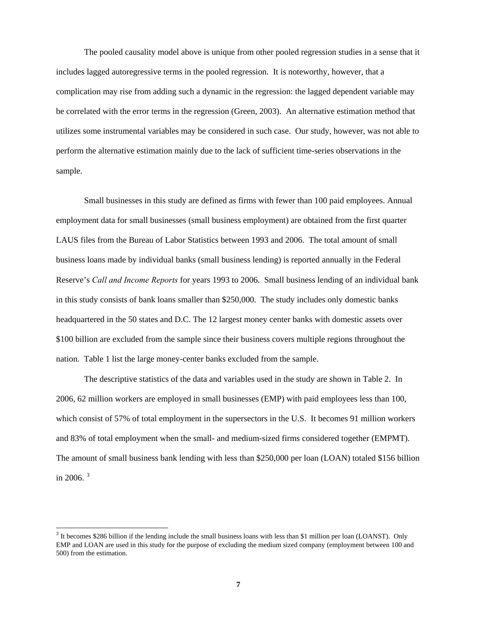The pooled causality model above is unique from other pooled regression studies in a sense that it includes lagged autoregressive terms in the pooled regression. It is noteworthy, however, that a complication may rise from adding such a dynamic in the regression: the lagged dependent variable may be correlated with the error terms in the regression (Green, 2003). An alternative estimation method that utilizes some instrumental variables may be considered in such case. Our study, however, was not able to perform the alternative estimation mainly due to the lack of sufficient time-series observations in the sample.

Small businesses in this study are defined as firms with fewer than 100 paid employees. Annual employment data for small businesses (small business employment) are obtained from the first quarter LAUS files from the Bureau of Labor Statistics between 1993 and 2006. The total amount of small business loans made by individual banks (small business lending) is reported annually in the Federal Reserve's *Call and Income Reports* for years 1993 to 2006. Small business lending of an individual bank in this study consists of bank loans smaller than \$250,000. The study includes only domestic banks headquartered in the 50 states and D.C. The 12 largest money center banks with domestic assets over \$100 billion are excluded from the sample since their business covers multiple regions throughout the nation. Table 1 list the large money-center banks excluded from the sample.

The descriptive statistics of the data and variables used in the study are shown in Table 2. In 2006, 62 million workers are employed in small businesses (EMP) with paid employees less than 100, which consist of 57% of total employment in the supersectors in the U.S. It becomes 91 million workers and 83% of total employment when the small- and medium-sized firms considered together (EMPMT). The amount of small business bank lending with less than \$250,000 per loan (LOAN) totaled \$156 billion in 2006. $3$ 

 $\overline{\phantom{a}}$ 

<span id="page-7-0"></span><sup>&</sup>lt;sup>3</sup> It becomes \$286 billion if the lending include the small business loans with less than \$1 million per loan (LOANST). Only EMP and LOAN are used in this study for the purpose of excluding the medium sized company (employment between 100 and 500) from the estimation.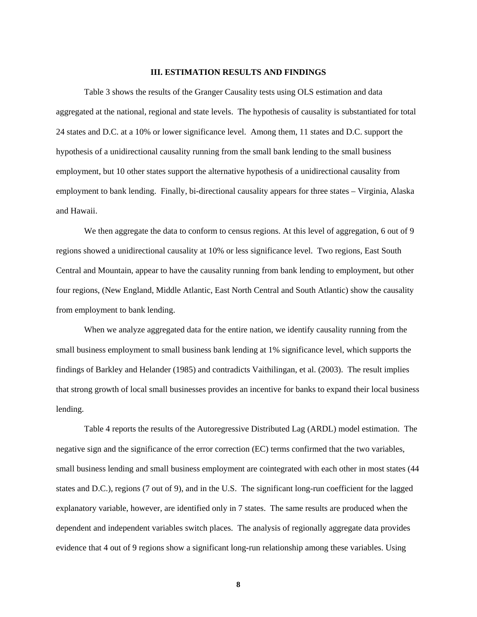#### **III. ESTIMATION RESULTS AND FINDINGS**

Table 3 shows the results of the Granger Causality tests using OLS estimation and data aggregated at the national, regional and state levels. The hypothesis of causality is substantiated for total 24 states and D.C. at a 10% or lower significance level. Among them, 11 states and D.C. support the hypothesis of a unidirectional causality running from the small bank lending to the small business employment, but 10 other states support the alternative hypothesis of a unidirectional causality from employment to bank lending. Finally, bi-directional causality appears for three states – Virginia, Alaska and Hawaii.

We then aggregate the data to conform to census regions. At this level of aggregation, 6 out of 9 regions showed a unidirectional causality at 10% or less significance level. Two regions, East South Central and Mountain, appear to have the causality running from bank lending to employment, but other four regions, (New England, Middle Atlantic, East North Central and South Atlantic) show the causality from employment to bank lending.

When we analyze aggregated data for the entire nation, we identify causality running from the small business employment to small business bank lending at 1% significance level, which supports the findings of Barkley and Helander (1985) and contradicts Vaithilingan, et al. (2003). The result implies that strong growth of local small businesses provides an incentive for banks to expand their local business lending.

Table 4 reports the results of the Autoregressive Distributed Lag (ARDL) model estimation. The negative sign and the significance of the error correction (EC) terms confirmed that the two variables, small business lending and small business employment are cointegrated with each other in most states (44 states and D.C.), regions (7 out of 9), and in the U.S. The significant long-run coefficient for the lagged explanatory variable, however, are identified only in 7 states. The same results are produced when the dependent and independent variables switch places. The analysis of regionally aggregate data provides evidence that 4 out of 9 regions show a significant long-run relationship among these variables. Using

**8**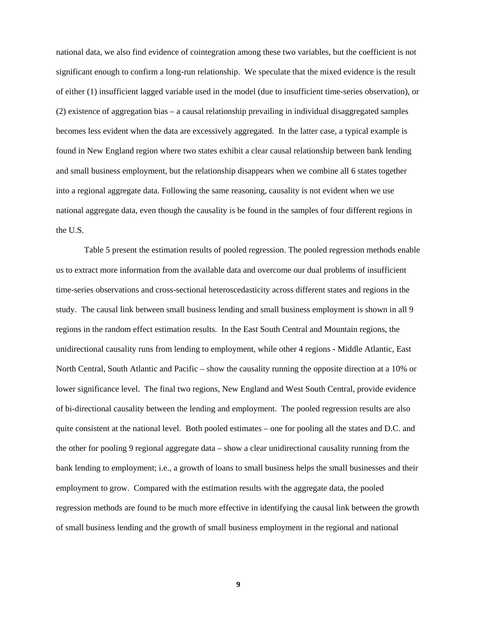national data, we also find evidence of cointegration among these two variables, but the coefficient is not significant enough to confirm a long-run relationship. We speculate that the mixed evidence is the result of either (1) insufficient lagged variable used in the model (due to insufficient time-series observation), or (2) existence of aggregation bias – a causal relationship prevailing in individual disaggregated samples becomes less evident when the data are excessively aggregated. In the latter case, a typical example is found in New England region where two states exhibit a clear causal relationship between bank lending and small business employment, but the relationship disappears when we combine all 6 states together into a regional aggregate data. Following the same reasoning, causality is not evident when we use national aggregate data, even though the causality is be found in the samples of four different regions in the U.S.

Table 5 present the estimation results of pooled regression. The pooled regression methods enable us to extract more information from the available data and overcome our dual problems of insufficient time-series observations and cross-sectional heteroscedasticity across different states and regions in the study. The causal link between small business lending and small business employment is shown in all 9 regions in the random effect estimation results. In the East South Central and Mountain regions, the unidirectional causality runs from lending to employment, while other 4 regions - Middle Atlantic, East North Central, South Atlantic and Pacific – show the causality running the opposite direction at a 10% or lower significance level. The final two regions, New England and West South Central, provide evidence of bi-directional causality between the lending and employment. The pooled regression results are also quite consistent at the national level. Both pooled estimates – one for pooling all the states and D.C. and the other for pooling 9 regional aggregate data – show a clear unidirectional causality running from the bank lending to employment; i.e., a growth of loans to small business helps the small businesses and their employment to grow. Compared with the estimation results with the aggregate data, the pooled regression methods are found to be much more effective in identifying the causal link between the growth of small business lending and the growth of small business employment in the regional and national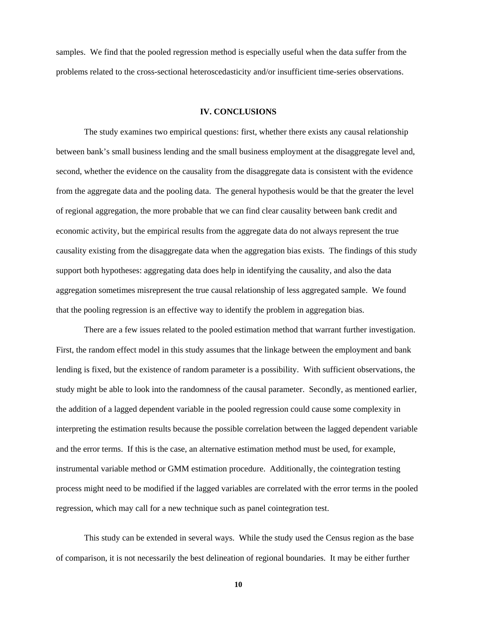samples. We find that the pooled regression method is especially useful when the data suffer from the problems related to the cross-sectional heteroscedasticity and/or insufficient time-series observations.

#### **IV. CONCLUSIONS**

The study examines two empirical questions: first, whether there exists any causal relationship between bank's small business lending and the small business employment at the disaggregate level and, second, whether the evidence on the causality from the disaggregate data is consistent with the evidence from the aggregate data and the pooling data. The general hypothesis would be that the greater the level of regional aggregation, the more probable that we can find clear causality between bank credit and economic activity, but the empirical results from the aggregate data do not always represent the true causality existing from the disaggregate data when the aggregation bias exists. The findings of this study support both hypotheses: aggregating data does help in identifying the causality, and also the data aggregation sometimes misrepresent the true causal relationship of less aggregated sample. We found that the pooling regression is an effective way to identify the problem in aggregation bias.

There are a few issues related to the pooled estimation method that warrant further investigation. First, the random effect model in this study assumes that the linkage between the employment and bank lending is fixed, but the existence of random parameter is a possibility. With sufficient observations, the study might be able to look into the randomness of the causal parameter. Secondly, as mentioned earlier, the addition of a lagged dependent variable in the pooled regression could cause some complexity in interpreting the estimation results because the possible correlation between the lagged dependent variable and the error terms. If this is the case, an alternative estimation method must be used, for example, instrumental variable method or GMM estimation procedure. Additionally, the cointegration testing process might need to be modified if the lagged variables are correlated with the error terms in the pooled regression, which may call for a new technique such as panel cointegration test.

This study can be extended in several ways. While the study used the Census region as the base of comparison, it is not necessarily the best delineation of regional boundaries. It may be either further

**10**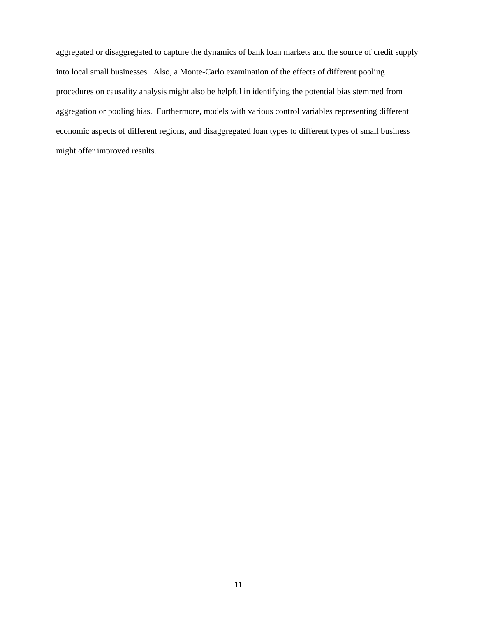aggregated or disaggregated to capture the dynamics of bank loan markets and the source of credit supply into local small businesses. Also, a Monte-Carlo examination of the effects of different pooling procedures on causality analysis might also be helpful in identifying the potential bias stemmed from aggregation or pooling bias. Furthermore, models with various control variables representing different economic aspects of different regions, and disaggregated loan types to different types of small business might offer improved results.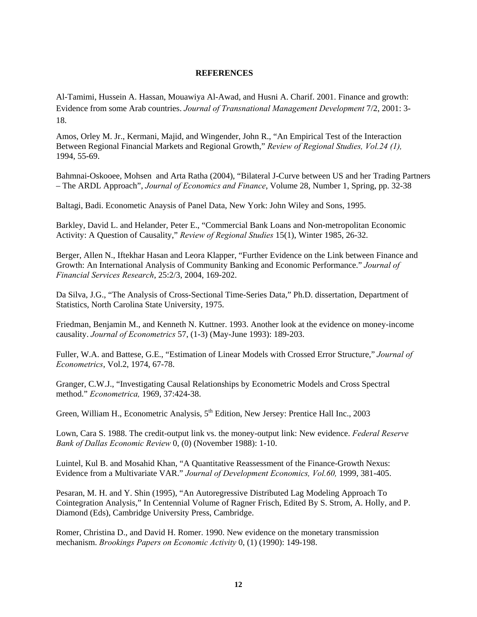#### **REFERENCES**

Al-Tamimi, Hussein A. Hassan, Mouawiya Al-Awad, and Husni A. Charif. 2001. Finance and growth: Evidence from some Arab countries. *Journal of Transnational Management Development* 7/2, 2001: 3- 18.

Amos, Orley M. Jr., Kermani, Majid, and Wingender, John R., "An Empirical Test of the Interaction Between Regional Financial Markets and Regional Growth," *Review of Regional Studies, Vol.24 (1),*  1994, 55-69.

Bahmnai-Oskooee, Mohsen and Arta Ratha (2004), "Bilateral J-Curve between US and her Trading Partners – The ARDL Approach", *Journal of Economics and Finance*, Volume 28, Number 1, Spring, pp. 32-38

Baltagi, Badi. Econometic Anaysis of Panel Data, New York: John Wiley and Sons, 1995.

Barkley, David L. and Helander, Peter E., "Commercial Bank Loans and Non-metropolitan Economic Activity: A Question of Causality," *Review of Regional Studies* 15(1), Winter 1985, 26-32.

Berger, Allen N., Iftekhar Hasan and Leora Klapper, "Further Evidence on the Link between Finance and Growth: An International Analysis of Community Banking and Economic Performance." *Journal of Financial Services Research*, 25:2/3, 2004, 169-202.

Da Silva, J.G., "The Analysis of Cross-Sectional Time-Series Data," Ph.D. dissertation, Department of Statistics, North Carolina State University, 1975.

Friedman, Benjamin M., and Kenneth N. Kuttner. 1993. Another look at the evidence on money-income causality. *Journal of Econometrics* 57, (1-3) (May-June 1993): 189-203.

Fuller, W.A. and Battese, G.E., "Estimation of Linear Models with Crossed Error Structure," *Journal of Econometrics*, Vol.2, 1974, 67-78.

Granger, C.W.J., "Investigating Causal Relationships by Econometric Models and Cross Spectral method." *Econometrica,* 1969, 37:424-38.

Green, William H., Econometric Analysis,  $5<sup>th</sup>$  Edition, New Jersey: Prentice Hall Inc., 2003

Lown, Cara S. 1988. The credit-output link vs. the money-output link: New evidence. *Federal Reserve Bank of Dallas Economic Review* 0, (0) (November 1988): 1-10.

Luintel, Kul B. and Mosahid Khan, "A Quantitative Reassessment of the Finance-Growth Nexus: Evidence from a Multivariate VAR." *Journal of Development Economics, Vol.60,* 1999, 381-405.

Pesaran, M. H. and Y. Shin (1995), "An Autoregressive Distributed Lag Modeling Approach To Cointegration Analysis," In Centennial Volume of Ragner Frisch, Edited By S. Strom, A. Holly, and P. Diamond (Eds), Cambridge University Press, Cambridge.

Romer, Christina D., and David H. Romer. 1990. New evidence on the monetary transmission mechanism. *Brookings Papers on Economic Activity* 0, (1) (1990): 149-198.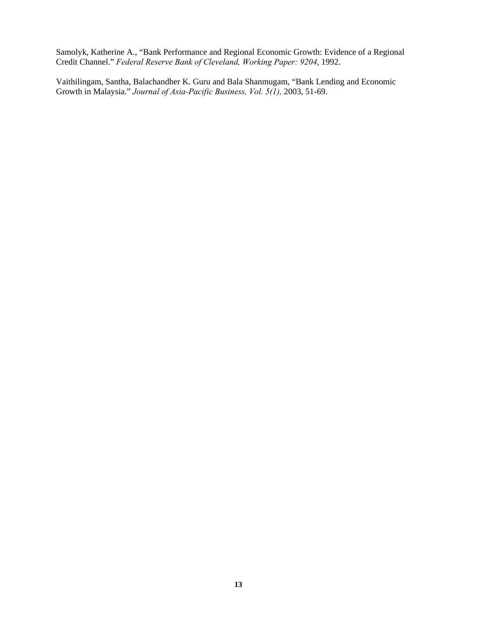Samolyk, Katherine A., "Bank Performance and Regional Economic Growth: Evidence of a Regional Credit Channel." *Federal Reserve Bank of Cleveland, Working Paper: 9204*, 1992.

Vaithilingam, Santha, Balachandher K. Guru and Bala Shanmugam, "Bank Lending and Economic Growth in Malaysia." *Journal of Asia-Pacific Business, Vol. 5(1),* 2003, 51-69.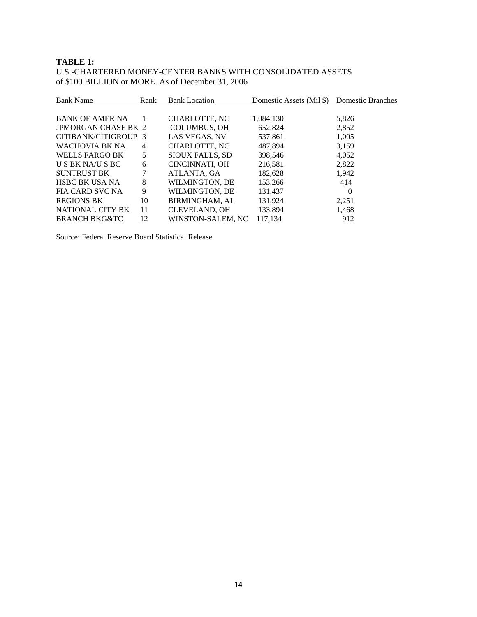### **TABLE 1:**

U.S.-CHARTERED MONEY-CENTER BANKS WITH CONSOLIDATED ASSETS of \$100 BILLION or MORE. As of December 31, 2006

| <b>Bank Name</b><br>Rank   |    | <b>Bank Location</b>   | Domestic Assets (Mil \$) | <b>Domestic Branches</b> |
|----------------------------|----|------------------------|--------------------------|--------------------------|
|                            |    |                        |                          |                          |
| <b>BANK OF AMER NA</b>     |    | CHARLOTTE, NC          | 1,084,130                | 5,826                    |
| <b>JPMORGAN CHASE BK 2</b> |    | <b>COLUMBUS, OH</b>    | 652,824                  | 2,852                    |
| CITIBANK/CITIGROUP 3       |    | LAS VEGAS, NV          | 537,861                  | 1,005                    |
| WACHOVIA BK NA             | 4  | CHARLOTTE, NC          | 487.894                  | 3,159                    |
| <b>WELLS FARGO BK</b>      | 5  | <b>SIOUX FALLS, SD</b> | 398,546                  | 4,052                    |
| U S BK NA/U S BC           | 6  | CINCINNATI, OH         | 216,581                  | 2,822                    |
| <b>SUNTRUST BK</b>         |    | ATLANTA, GA            | 182,628                  | 1,942                    |
| <b>HSBC BK USA NA</b>      | 8  | WILMINGTON, DE         | 153,266                  | 414                      |
| FIA CARD SVC NA            | 9  | WILMINGTON, DE         | 131,437                  | 0                        |
| <b>REGIONS BK</b>          | 10 | <b>BIRMINGHAM, AL</b>  | 131,924                  | 2,251                    |
| NATIONAL CITY BK           | 11 | <b>CLEVELAND, OH</b>   | 133,894                  | 1,468                    |
| <b>BRANCH BKG&amp;TC</b>   | 12 | WINSTON-SALEM, NC      | 117.134                  | 912                      |

Source: Federal Reserve Board Statistical Release.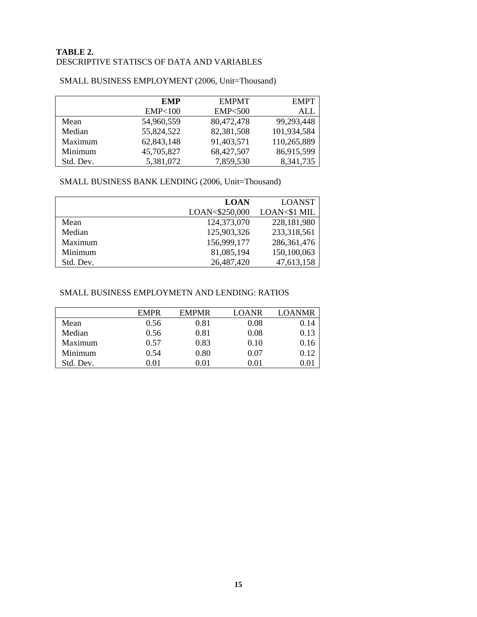## **TABLE 2.**  DESCRIPTIVE STATISCS OF DATA AND VARIABLES

|           | <b>EMP</b>        | <b>EMPMT</b>      | <b>EMPT</b> |
|-----------|-------------------|-------------------|-------------|
|           | <b>EMP&lt;100</b> | <b>EMP&lt;500</b> | ALL         |
| Mean      | 54,960,559        | 80,472,478        | 99,293,448  |
| Median    | 55,824,522        | 82,381,508        | 101,934,584 |
| Maximum   | 62,843,148        | 91,403,571        | 110,265,889 |
| Minimum   | 45,705,827        | 68,427,507        | 86,915,599  |
| Std. Dev. | 5,381,072         | 7,859,530         | 8,341,735   |

#### SMALL BUSINESS EMPLOYMENT (2006, Unit=Thousand)

## SMALL BUSINESS BANK LENDING (2006, Unit=Thousand)

|           | <b>LOAN</b>    | <b>LOANST</b> |
|-----------|----------------|---------------|
|           | LOAN<\$250,000 | LOAN<\$1 MIL  |
| Mean      | 124,373,070    | 228,181,980   |
| Median    | 125,903,326    | 233,318,561   |
| Maximum   | 156,999,177    | 286, 361, 476 |
| Minimum   | 81,085,194     | 150,100,063   |
| Std. Dev. | 26,487,420     | 47,613,158    |

## SMALL BUSINESS EMPLOYMETN AND LENDING: RATIOS

|           | <b>EMPR</b> | <b>EMPMR</b> | LOANR | <b>LOANMR</b> |
|-----------|-------------|--------------|-------|---------------|
| Mean      | 0.56        | 0.81         | 0.08  | 0.14          |
| Median    | 0.56        | 0.81         | 0.08  | 0.13          |
| Maximum   | 0.57        | 0.83         | 0.10  | 0.16          |
| Minimum   | 0.54        | 0.80         | 0.07  | 0.12          |
| Std. Dev. | 0.01        | 0.01         | 0.01  |               |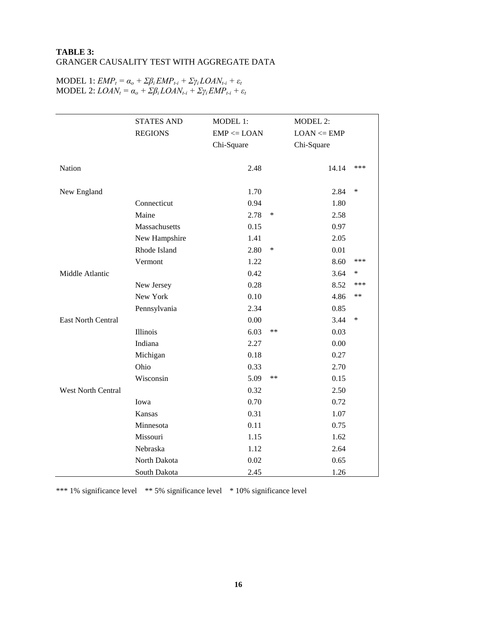## **TABLE 3:**  GRANGER CAUSALITY TEST WITH AGGREGATE DATA

|                           | <b>STATES AND</b> | MODEL 1:        |        | <b>MODEL 2:</b> |      |
|---------------------------|-------------------|-----------------|--------|-----------------|------|
|                           | <b>REGIONS</b>    | $EMP \leq LOAN$ |        | $LOAN \leq EMP$ |      |
|                           |                   | Chi-Square      |        | Chi-Square      |      |
|                           |                   |                 |        |                 |      |
| Nation                    |                   | 2.48            |        | 14.14           | ***  |
|                           |                   |                 |        |                 |      |
| New England               |                   | 1.70            |        | 2.84            | ∗    |
|                           | Connecticut       | 0.94            |        | 1.80            |      |
|                           | Maine             | 2.78            | $\ast$ | 2.58            |      |
|                           | Massachusetts     | 0.15            |        | 0.97            |      |
|                           | New Hampshire     | 1.41            |        | 2.05            |      |
|                           | Rhode Island      | 2.80            | $\ast$ | 0.01            |      |
|                           | Vermont           | 1.22            |        | 8.60            | ***  |
| Middle Atlantic           |                   | 0.42            |        | 3.64            | ∗    |
|                           | New Jersey        | 0.28            |        | 8.52            | ***  |
|                           | New York          | 0.10            |        | 4.86            | $**$ |
|                           | Pennsylvania      | 2.34            |        | 0.85            |      |
| East North Central        |                   | 0.00            |        | 3.44            | *    |
|                           | Illinois          | 6.03            | $**$   | 0.03            |      |
|                           | Indiana           | 2.27            |        | 0.00            |      |
|                           | Michigan          | 0.18            |        | 0.27            |      |
|                           | Ohio              | 0.33            |        | 2.70            |      |
|                           | Wisconsin         | 5.09            | $**$   | 0.15            |      |
| <b>West North Central</b> |                   | 0.32            |        | 2.50            |      |
|                           | Iowa              | 0.70            |        | 0.72            |      |
|                           | <b>Kansas</b>     | 0.31            |        | 1.07            |      |
|                           | Minnesota         | 0.11            |        | 0.75            |      |
|                           | Missouri          | 1.15            |        | 1.62            |      |
|                           | Nebraska          | 1.12            |        | 2.64            |      |
|                           | North Dakota      | 0.02            |        | 0.65            |      |
|                           | South Dakota      | 2.45            |        | 1.26            |      |

#### $\text{MODEL 1: } EMP_t = \alpha_o + \sum \beta_i EMP_{t-i} + \sum \gamma_i LOAN_{t-i} + \varepsilon_t$  $\text{MODEL } 2: \text{LO} AN_t = \alpha_o + \sum \beta_i \text{LO} AN_{t-i} + \sum \gamma_i \text{EMP}_{t-i} + \varepsilon_t$

\*\*\* 1% significance level \*\* 5% significance level \* 10% significance level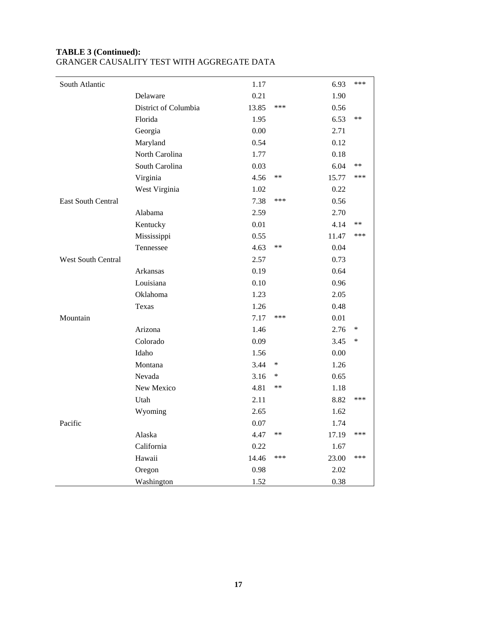| South Atlantic            |                      | 1.17  |        | 6.93  | ***    |
|---------------------------|----------------------|-------|--------|-------|--------|
|                           | Delaware             | 0.21  |        | 1.90  |        |
|                           | District of Columbia | 13.85 | ***    | 0.56  |        |
|                           | Florida              | 1.95  |        | 6.53  | **     |
|                           | Georgia              | 0.00  |        | 2.71  |        |
|                           | Maryland             | 0.54  |        | 0.12  |        |
|                           | North Carolina       | 1.77  |        | 0.18  |        |
|                           | South Carolina       | 0.03  |        | 6.04  | **     |
|                           | Virginia             | 4.56  | $**$   | 15.77 | ***    |
|                           | West Virginia        | 1.02  |        | 0.22  |        |
| East South Central        |                      | 7.38  | ***    | 0.56  |        |
|                           | Alabama              | 2.59  |        | 2.70  |        |
|                           | Kentucky             | 0.01  |        | 4.14  | **     |
|                           | Mississippi          | 0.55  |        | 11.47 | ***    |
|                           | Tennessee            | 4.63  | $***$  | 0.04  |        |
| <b>West South Central</b> |                      | 2.57  |        | 0.73  |        |
|                           | Arkansas             | 0.19  |        | 0.64  |        |
|                           | Louisiana            | 0.10  |        | 0.96  |        |
|                           | Oklahoma             | 1.23  |        | 2.05  |        |
|                           | Texas                | 1.26  |        | 0.48  |        |
| Mountain                  |                      | 7.17  | ***    | 0.01  |        |
|                           | Arizona              | 1.46  |        | 2.76  | $\ast$ |
|                           | Colorado             | 0.09  |        | 3.45  | $\ast$ |
|                           | Idaho                | 1.56  |        | 0.00  |        |
|                           | Montana              | 3.44  | $\ast$ | 1.26  |        |
|                           | Nevada               | 3.16  | ∗      | 0.65  |        |
|                           | New Mexico           | 4.81  | $***$  | 1.18  |        |
|                           | Utah                 | 2.11  |        | 8.82  | ***    |
|                           | Wyoming              | 2.65  |        | 1.62  |        |
| Pacific                   |                      | 0.07  |        | 1.74  |        |
|                           | Alaska               | 4.47  | $***$  | 17.19 | ***    |
|                           | California           | 0.22  |        | 1.67  |        |
|                           | Hawaii               | 14.46 | ***    | 23.00 | ***    |
|                           | Oregon               | 0.98  |        | 2.02  |        |
|                           | Washington           | 1.52  |        | 0.38  |        |

## **TABLE 3 (Continued):**  GRANGER CAUSALITY TEST WITH AGGREGATE DATA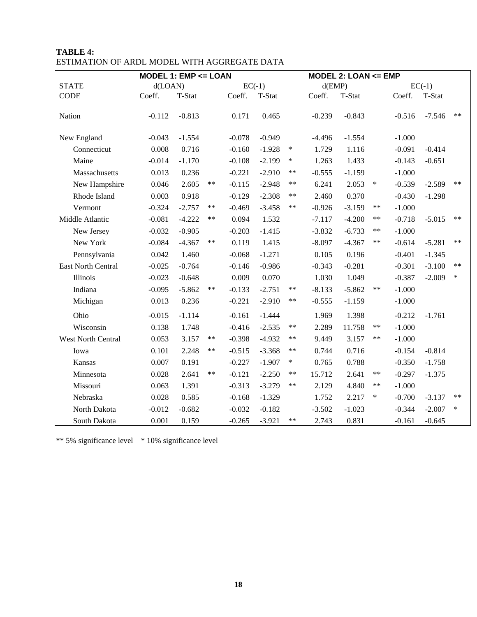|                    | MODEL 1: EMP <= LOAN |          |       |          |          |            | MODEL 2: LOAN <= EMP |          |        |          |          |            |
|--------------------|----------------------|----------|-------|----------|----------|------------|----------------------|----------|--------|----------|----------|------------|
| <b>STATE</b>       | d(LOAN)              |          |       |          | $EC(-1)$ |            | $d$ (EMP)            |          |        |          | $EC(-1)$ |            |
| <b>CODE</b>        | Coeff.               | T-Stat   |       | Coeff.   | T-Stat   |            | Coeff.               | T-Stat   |        | Coeff.   | T-Stat   |            |
| Nation             | $-0.112$             | $-0.813$ |       | 0.171    | 0.465    |            | $-0.239$             | $-0.843$ |        | $-0.516$ | $-7.546$ | $\ast\ast$ |
| New England        | $-0.043$             | $-1.554$ |       | $-0.078$ | $-0.949$ |            | $-4.496$             | $-1.554$ |        | $-1.000$ |          |            |
| Connecticut        | 0.008                | 0.716    |       | $-0.160$ | $-1.928$ | $\ast$     | 1.729                | 1.116    |        | $-0.091$ | $-0.414$ |            |
| Maine              | $-0.014$             | $-1.170$ |       | $-0.108$ | $-2.199$ | $\ast$     | 1.263                | 1.433    |        | $-0.143$ | $-0.651$ |            |
| Massachusetts      | 0.013                | 0.236    |       | $-0.221$ | $-2.910$ | $***$      | $-0.555$             | $-1.159$ |        | $-1.000$ |          |            |
| New Hampshire      | 0.046                | 2.605    | **    | $-0.115$ | $-2.948$ | $***$      | 6.241                | 2.053    | $\ast$ | $-0.539$ | $-2.589$ | $\ast\ast$ |
| Rhode Island       | 0.003                | 0.918    |       | $-0.129$ | $-2.308$ | $***$      | 2.460                | 0.370    |        | $-0.430$ | $-1.298$ |            |
| Vermont            | $-0.324$             | $-2.757$ | **    | $-0.469$ | $-3.458$ | $***$      | $-0.926$             | $-3.159$ | **     | $-1.000$ |          |            |
| Middle Atlantic    | $-0.081$             | $-4.222$ | **    | 0.094    | 1.532    |            | $-7.117$             | $-4.200$ | $***$  | $-0.718$ | $-5.015$ | $**$       |
| New Jersey         | $-0.032$             | $-0.905$ |       | $-0.203$ | $-1.415$ |            | $-3.832$             | $-6.733$ | **     | $-1.000$ |          |            |
| New York           | $-0.084$             | $-4.367$ | **    | 0.119    | 1.415    |            | $-8.097$             | $-4.367$ | $***$  | $-0.614$ | $-5.281$ | $***$      |
| Pennsylvania       | 0.042                | 1.460    |       | $-0.068$ | $-1.271$ |            | 0.105                | 0.196    |        | $-0.401$ | $-1.345$ |            |
| East North Central | $-0.025$             | $-0.764$ |       | $-0.146$ | $-0.986$ |            | $-0.343$             | $-0.281$ |        | $-0.301$ | $-3.100$ | $**$       |
| Illinois           | $-0.023$             | $-0.648$ |       | 0.009    | 0.070    |            | 1.030                | 1.049    |        | $-0.387$ | $-2.009$ | $\ast$     |
| Indiana            | $-0.095$             | $-5.862$ | **    | $-0.133$ | $-2.751$ | $***$      | $-8.133$             | $-5.862$ | $***$  | $-1.000$ |          |            |
| Michigan           | 0.013                | 0.236    |       | $-0.221$ | $-2.910$ | $***$      | $-0.555$             | $-1.159$ |        | $-1.000$ |          |            |
| Ohio               | $-0.015$             | $-1.114$ |       | $-0.161$ | $-1.444$ |            | 1.969                | 1.398    |        | $-0.212$ | $-1.761$ |            |
| Wisconsin          | 0.138                | 1.748    |       | $-0.416$ | $-2.535$ | **         | 2.289                | 11.758   | $***$  | $-1.000$ |          |            |
| West North Central | 0.053                | 3.157    | **    | $-0.398$ | $-4.932$ | $***$      | 9.449                | 3.157    | $***$  | $-1.000$ |          |            |
| Iowa               | 0.101                | 2.248    | $***$ | $-0.515$ | $-3.368$ | $***$      | 0.744                | 0.716    |        | $-0.154$ | $-0.814$ |            |
| Kansas             | 0.007                | 0.191    |       | $-0.227$ | $-1.907$ | $\ast$     | 0.765                | 0.788    |        | $-0.350$ | $-1.758$ |            |
| Minnesota          | 0.028                | 2.641    | **    | $-0.121$ | $-2.250$ | $***$      | 15.712               | 2.641    | **     | $-0.297$ | $-1.375$ |            |
| Missouri           | 0.063                | 1.391    |       | $-0.313$ | $-3.279$ | $***$      | 2.129                | 4.840    | **     | $-1.000$ |          |            |
| Nebraska           | 0.028                | 0.585    |       | $-0.168$ | $-1.329$ |            | 1.752                | 2.217    | $\ast$ | $-0.700$ | $-3.137$ | $**$       |
| North Dakota       | $-0.012$             | $-0.682$ |       | $-0.032$ | $-0.182$ |            | $-3.502$             | $-1.023$ |        | $-0.344$ | $-2.007$ | $\ast$     |
| South Dakota       | 0.001                | 0.159    |       | $-0.265$ | $-3.921$ | $\ast\ast$ | 2.743                | 0.831    |        | $-0.161$ | $-0.645$ |            |

## **TABLE 4:** ESTIMATION OF ARDL MODEL WITH AGGREGATE DATA

\*\* 5% significance level \* 10% significance level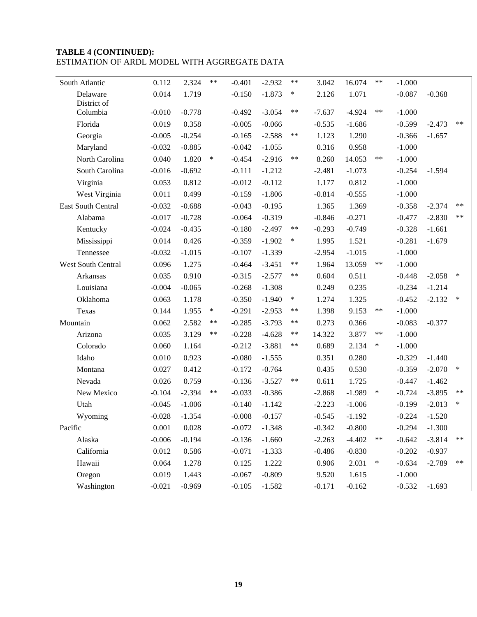## **TABLE 4 (CONTINUED):** ESTIMATION OF ARDL MODEL WITH AGGREGATE DATA

| South Atlantic          | 0.112             | 2.324             | $***$  | $-0.401$ | $-2.932$             | $***$  | 3.042    | 16.074   | $***$  | $-1.000$             |          |        |
|-------------------------|-------------------|-------------------|--------|----------|----------------------|--------|----------|----------|--------|----------------------|----------|--------|
| Delaware                | 0.014             | 1.719             |        | $-0.150$ | $-1.873$             | $\ast$ | 2.126    | 1.071    |        | $-0.087$             | $-0.368$ |        |
| District of<br>Columbia |                   |                   |        |          |                      | **     |          |          | $***$  |                      |          |        |
| Florida                 | $-0.010$<br>0.019 | $-0.778$<br>0.358 |        | $-0.492$ | $-3.054$<br>$-0.066$ |        | $-7.637$ | $-4.924$ |        | $-1.000$<br>$-0.599$ |          | $**$   |
|                         |                   |                   |        | $-0.005$ |                      | **     | $-0.535$ | $-1.686$ |        |                      | $-2.473$ |        |
| Georgia                 | $-0.005$          | $-0.254$          |        | $-0.165$ | $-2.588$             |        | 1.123    | 1.290    |        | $-0.366$             | $-1.657$ |        |
| Maryland                | $-0.032$          | $-0.885$          | $\ast$ | $-0.042$ | $-1.055$             | $***$  | 0.316    | 0.958    | $***$  | $-1.000$             |          |        |
| North Carolina          | 0.040             | 1.820             |        | $-0.454$ | $-2.916$             |        | 8.260    | 14.053   |        | $-1.000$             |          |        |
| South Carolina          | $-0.016$          | $-0.692$          |        | $-0.111$ | $-1.212$             |        | $-2.481$ | $-1.073$ |        | $-0.254$             | $-1.594$ |        |
| Virginia                | 0.053             | 0.812             |        | $-0.012$ | $-0.112$             |        | 1.177    | 0.812    |        | $-1.000$             |          |        |
| West Virginia           | 0.011             | 0.499             |        | $-0.159$ | $-1.806$             |        | $-0.814$ | $-0.555$ |        | $-1.000$             |          |        |
| East South Central      | $-0.032$          | $-0.688$          |        | $-0.043$ | $-0.195$             |        | 1.365    | 1.369    |        | $-0.358$             | $-2.374$ | $**$   |
| Alabama                 | $-0.017$          | $-0.728$          |        | $-0.064$ | $-0.319$             |        | $-0.846$ | $-0.271$ |        | $-0.477$             | $-2.830$ | $***$  |
| Kentucky                | $-0.024$          | $-0.435$          |        | $-0.180$ | $-2.497$             | $***$  | $-0.293$ | $-0.749$ |        | $-0.328$             | $-1.661$ |        |
| Mississippi             | 0.014             | 0.426             |        | $-0.359$ | $-1.902$             | $\ast$ | 1.995    | 1.521    |        | $-0.281$             | $-1.679$ |        |
| Tennessee               | $-0.032$          | $-1.015$          |        | $-0.107$ | $-1.339$             |        | $-2.954$ | $-1.015$ |        | $-1.000$             |          |        |
| West South Central      | 0.096             | 1.275             |        | $-0.464$ | $-3.451$             | **     | 1.964    | 13.059   | $***$  | $-1.000$             |          |        |
| Arkansas                | 0.035             | 0.910             |        | $-0.315$ | $-2.577$             | **     | 0.604    | 0.511    |        | $-0.448$             | $-2.058$ | $\ast$ |
| Louisiana               | $-0.004$          | $-0.065$          |        | $-0.268$ | $-1.308$             |        | 0.249    | 0.235    |        | $-0.234$             | $-1.214$ |        |
| Oklahoma                | 0.063             | 1.178             |        | $-0.350$ | $-1.940$             | $\ast$ | 1.274    | 1.325    |        | $-0.452$             | $-2.132$ | $\ast$ |
| Texas                   | 0.144             | 1.955             | $\ast$ | $-0.291$ | $-2.953$             | **     | 1.398    | 9.153    | $***$  | $-1.000$             |          |        |
| Mountain                | 0.062             | 2.582             | $***$  | $-0.285$ | $-3.793$             | **     | 0.273    | 0.366    |        | $-0.083$             | $-0.377$ |        |
| Arizona                 | 0.035             | 3.129             | $***$  | $-0.228$ | $-4.628$             | **     | 14.322   | 3.877    | $***$  | $-1.000$             |          |        |
| Colorado                | 0.060             | 1.164             |        | $-0.212$ | $-3.881$             | **     | 0.689    | 2.134    | $\ast$ | $-1.000$             |          |        |
| Idaho                   | 0.010             | 0.923             |        | $-0.080$ | $-1.555$             |        | 0.351    | 0.280    |        | $-0.329$             | $-1.440$ |        |
| Montana                 | 0.027             | 0.412             |        | $-0.172$ | $-0.764$             |        | 0.435    | 0.530    |        | $-0.359$             | $-2.070$ | $\ast$ |
| Nevada                  | 0.026             | 0.759             |        | $-0.136$ | $-3.527$             | **     | 0.611    | 1.725    |        | $-0.447$             | $-1.462$ |        |
| New Mexico              | $-0.104$          | $-2.394$          | **     | $-0.033$ | $-0.386$             |        | $-2.868$ | $-1.989$ | $\ast$ | $-0.724$             | $-3.895$ | $**$   |
| Utah                    | $-0.045$          | $-1.006$          |        | $-0.140$ | $-1.142$             |        | $-2.223$ | $-1.006$ |        | $-0.199$             | $-2.013$ | ∗      |
| Wyoming                 | $-0.028$          | $-1.354$          |        | $-0.008$ | $-0.157$             |        | $-0.545$ | $-1.192$ |        | $-0.224$             | $-1.520$ |        |
| Pacific                 | 0.001             | 0.028             |        | $-0.072$ | $-1.348$             |        | $-0.342$ | $-0.800$ |        | $-0.294$             | $-1.300$ |        |
| Alaska                  | $-0.006$          | $-0.194$          |        | $-0.136$ | $-1.660$             |        | $-2.263$ | $-4.402$ | **     | $-0.642$             | $-3.814$ | $***$  |
| California              | 0.012             | 0.586             |        | $-0.071$ | $-1.333$             |        | $-0.486$ | $-0.830$ |        | $-0.202$             | $-0.937$ |        |
| Hawaii                  | 0.064             | 1.278             |        | 0.125    | 1.222                |        | 0.906    | 2.031    | $\ast$ | $-0.634$             | $-2.789$ | $***$  |
| Oregon                  | 0.019             | 1.443             |        | $-0.067$ | $-0.809$             |        | 9.520    | 1.615    |        | $-1.000$             |          |        |
| Washington              | $-0.021$          | $-0.969$          |        | $-0.105$ | $-1.582$             |        | $-0.171$ | $-0.162$ |        | $-0.532$             | $-1.693$ |        |